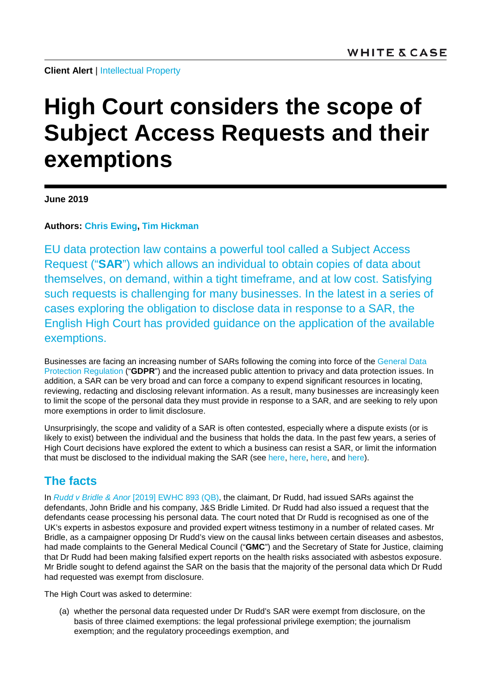# **High Court considers the scope of Subject Access Requests and their exemptions**

**June 2019**

**Authors: [Chris Ewing,](https://www.whitecase.com/people/chris-ewing) [Tim Hickman](https://www.whitecase.com/people/tim-hickman)**

EU data protection law contains a powerful tool called a Subject Access Request ("**SAR**") which allows an individual to obtain copies of data about themselves, on demand, within a tight timeframe, and at low cost. Satisfying such requests is challenging for many businesses. In the latest in a series of cases exploring the obligation to disclose data in response to a SAR, the English High Court has provided guidance on the application of the available exemptions.

Businesses are facing an increasing number of SARs following the coming into force of the [General Data](https://eur-lex.europa.eu/legal-content/EN/TXT/HTML/?uri=CELEX:32016R0679&from=EN)  [Protection Regulation](https://eur-lex.europa.eu/legal-content/EN/TXT/HTML/?uri=CELEX:32016R0679&from=EN) ("**GDPR**") and the increased public attention to privacy and data protection issues. In addition, a SAR can be very broad and can force a company to expend significant resources in locating, reviewing, redacting and disclosing relevant information. As a result, many businesses are increasingly keen to limit the scope of the personal data they must provide in response to a SAR, and are seeking to rely upon more exemptions in order to limit disclosure.

Unsurprisingly, the scope and validity of a SAR is often contested, especially where a dispute exists (or is likely to exist) between the individual and the business that holds the data. In the past few years, a series of High Court decisions have explored the extent to which a business can resist a SAR, or limit the information that must be disclosed to the individual making the SAR (see [here,](https://www.whitecase.com/publications/alert/subject-access-requests-not-obligation-leave-no-stone-unturned?s=%22subject%20access%22) [here,](https://www.whitecase.com/publications/alert/privileged-information-generally-safe-subject-access-requests?s=%22subject%20access%22) [here,](https://www.whitecase.com/publications/alert/businesses-can-refuse-subject-access-requests-made-dominant-purpose-litigation) and [here\)](https://www.whitecase.com/publications/alert/english-court-compels-investigators-disclose-information-data-protection-grounds).

## **The facts**

In *Rudd v Bridle & Anor* [\[2019\] EWHC 893 \(QB\),](https://www.bailii.org/cgi-bin/format.cgi?doc=/ew/cases/EWHC/QB/2019/893.html) the claimant, Dr Rudd, had issued SARs against the defendants, John Bridle and his company, J&S Bridle Limited. Dr Rudd had also issued a request that the defendants cease processing his personal data. The court noted that Dr Rudd is recognised as one of the UK's experts in asbestos exposure and provided expert witness testimony in a number of related cases. Mr Bridle, as a campaigner opposing Dr Rudd's view on the causal links between certain diseases and asbestos, had made complaints to the General Medical Council ("**GMC**") and the Secretary of State for Justice, claiming that Dr Rudd had been making falsified expert reports on the health risks associated with asbestos exposure. Mr Bridle sought to defend against the SAR on the basis that the majority of the personal data which Dr Rudd had requested was exempt from disclosure.

The High Court was asked to determine:

(a) whether the personal data requested under Dr Rudd's SAR were exempt from disclosure, on the basis of three claimed exemptions: the legal professional privilege exemption; the journalism exemption; and the regulatory proceedings exemption, and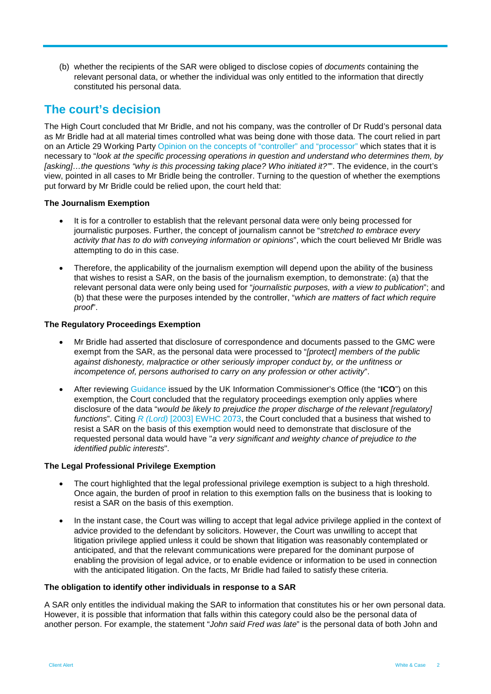(b) whether the recipients of the SAR were obliged to disclose copies of *documents* containing the relevant personal data, or whether the individual was only entitled to the information that directly constituted his personal data.

## **The court's decision**

The High Court concluded that Mr Bridle, and not his company, was the controller of Dr Rudd's personal data as Mr Bridle had at all material times controlled what was being done with those data. The court relied in part on an Article 29 Working Part[y Opinion on the concepts of "controller" and "processor"](https://ec.europa.eu/justice/article-29/documentation/opinion-recommendation/files/2010/wp169_en.pdf) which states that it is necessary to "*look at the specific processing operations in question and understand who determines them, by [asking]…the questions "why is this processing taking place? Who initiated it?"*". The evidence, in the court's view, pointed in all cases to Mr Bridle being the controller. Turning to the question of whether the exemptions put forward by Mr Bridle could be relied upon, the court held that:

#### **The Journalism Exemption**

- It is for a controller to establish that the relevant personal data were only being processed for journalistic purposes. Further, the concept of journalism cannot be "*stretched to embrace every activity that has to do with conveying information or opinions*", which the court believed Mr Bridle was attempting to do in this case.
- Therefore, the applicability of the journalism exemption will depend upon the ability of the business that wishes to resist a SAR, on the basis of the journalism exemption, to demonstrate: (a) that the relevant personal data were only being used for "*journalistic purposes, with a view to publication*"; and (b) that these were the purposes intended by the controller, "*which are matters of fact which require proof*".

### **The Regulatory Proceedings Exemption**

- Mr Bridle had asserted that disclosure of correspondence and documents passed to the GMC were exempt from the SAR, as the personal data were processed to "*[protect] members of the public against dishonesty, malpractice or other seriously improper conduct by, or the unfitness or incompetence of, persons authorised to carry on any profession or other activity*".
- After reviewing [Guidance](https://ico.org.uk/media/for-organisations/documents/1621/the-right-to-recorded-information-and-requests-for-documents.pdf) issued by the UK Information Commissioner's Office (the "**ICO**") on this exemption, the Court concluded that the regulatory proceedings exemption only applies where disclosure of the data "*would be likely to prejudice the proper discharge of the relevant [regulatory] functions*". Citing *R (Lord)* [\[2003\] EWHC 2073,](https://www.bailii.org/ew/cases/EWHC/Admin/2003/2073.html) the Court concluded that a business that wished to resist a SAR on the basis of this exemption would need to demonstrate that disclosure of the requested personal data would have "*a very significant and weighty chance of prejudice to the identified public interests*".

#### **The Legal Professional Privilege Exemption**

- The court highlighted that the legal professional privilege exemption is subject to a high threshold. Once again, the burden of proof in relation to this exemption falls on the business that is looking to resist a SAR on the basis of this exemption.
- In the instant case, the Court was willing to accept that legal advice privilege applied in the context of advice provided to the defendant by solicitors. However, the Court was unwilling to accept that litigation privilege applied unless it could be shown that litigation was reasonably contemplated or anticipated, and that the relevant communications were prepared for the dominant purpose of enabling the provision of legal advice, or to enable evidence or information to be used in connection with the anticipated litigation. On the facts, Mr Bridle had failed to satisfy these criteria.

#### **The obligation to identify other individuals in response to a SAR**

A SAR only entitles the individual making the SAR to information that constitutes his or her own personal data. However, it is possible that information that falls within this category could also be the personal data of another person. For example, the statement "*John said Fred was late*" is the personal data of both John and